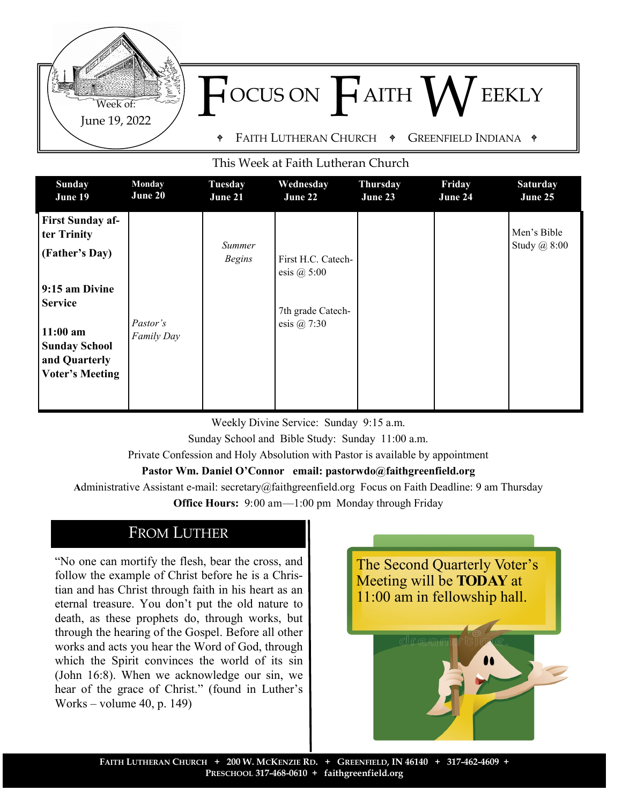

FAITH LUTHERAN CHURCH  $\phi$  Greenfield Indiana  $\phi$ 

#### This Week at Faith Lutheran Church

| <b>Sunday</b>                                                                                                                                                                 | Monday                 | <b>Tuesday</b>          | Wednesday                                                                 | <b>Thursday</b> | Friday  | <b>Saturday</b>             |
|-------------------------------------------------------------------------------------------------------------------------------------------------------------------------------|------------------------|-------------------------|---------------------------------------------------------------------------|-----------------|---------|-----------------------------|
| June 19                                                                                                                                                                       | June 20                | June 21                 | June 22                                                                   | June 23         | June 24 | June 25                     |
| <b>First Sunday af-</b><br>ter Trinity<br>(Father's Day)<br>9:15 am Divine<br><b>Service</b><br>$11:00$ am<br><b>Sunday School</b><br>and Quarterly<br><b>Voter's Meeting</b> | Pastor's<br>Family Day | Summer<br><b>Begins</b> | First H.C. Catech-<br>esis $(a)$ 5:00<br>7th grade Catech-<br>esis @ 7:30 |                 |         | Men's Bible<br>Study @ 8:00 |

Weekly Divine Service: Sunday 9:15 a.m. Sunday School and Bible Study: Sunday 11:00 a.m.

Private Confession and Holy Absolution with Pastor is available by appointment

#### **Pastor Wm. Daniel O'Connor email: pastorwdo@faithgreenfield.org**

**A**dministrative Assistant e-mail: secretary@faithgreenfield.org Focus on Faith Deadline: 9 am Thursday

**Office Hours:** 9:00 am—1:00 pm Monday through Friday

### FROM LUTHER

June 19, 2022 Week of:

"No one can mortify the flesh, bear the cross, and follow the example of Christ before he is a Christian and has Christ through faith in his heart as an eternal treasure. You don't put the old nature to death, as these prophets do, through works, but through the hearing of the Gospel. Before all other works and acts you hear the Word of God, through which the Spirit convinces the world of its sin (John 16:8). When we acknowledge our sin, we hear of the grace of Christ." (found in Luther's Works – volume 40, p. 149)

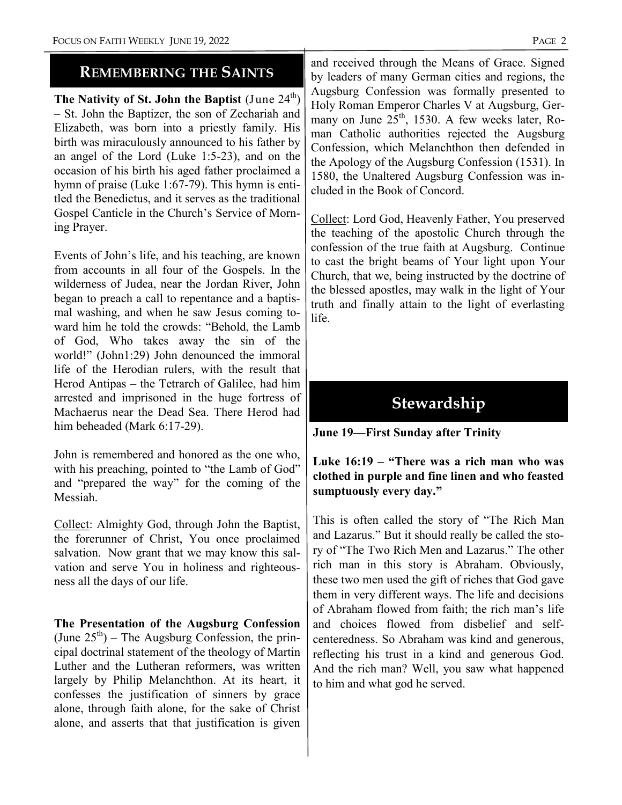### **REMEMBERING THE SAINTS**

**The Nativity of St. John the Baptist** (June 24<sup>th</sup>) – St. John the Baptizer, the son of Zechariah and Elizabeth, was born into a priestly family. His birth was miraculously announced to his father by an angel of the Lord (Luke 1:5-23), and on the occasion of his birth his aged father proclaimed a hymn of praise (Luke 1:67-79). This hymn is entitled the Benedictus, and it serves as the traditional Gospel Canticle in the Church's Service of Morning Prayer.

Events of John's life, and his teaching, are known from accounts in all four of the Gospels. In the wilderness of Judea, near the Jordan River, John began to preach a call to repentance and a baptismal washing, and when he saw Jesus coming toward him he told the crowds: "Behold, the Lamb of God, Who takes away the sin of the world!" (John1:29) John denounced the immoral life of the Herodian rulers, with the result that Herod Antipas – the Tetrarch of Galilee, had him arrested and imprisoned in the huge fortress of Machaerus near the Dead Sea. There Herod had him beheaded (Mark 6:17-29).

John is remembered and honored as the one who, with his preaching, pointed to "the Lamb of God" and "prepared the way" for the coming of the Messiah.

Collect: Almighty God, through John the Baptist, the forerunner of Christ, You once proclaimed salvation. Now grant that we may know this salvation and serve You in holiness and righteousness all the days of our life.

**The Presentation of the Augsburg Confession**  (June  $25<sup>th</sup>$ ) – The Augsburg Confession, the principal doctrinal statement of the theology of Martin Luther and the Lutheran reformers, was written largely by Philip Melanchthon. At its heart, it confesses the justification of sinners by grace alone, through faith alone, for the sake of Christ alone, and asserts that that justification is given

and received through the Means of Grace. Signed by leaders of many German cities and regions, the Augsburg Confession was formally presented to Holy Roman Emperor Charles V at Augsburg, Germany on June  $25<sup>th</sup>$ , 1530. A few weeks later, Roman Catholic authorities rejected the Augsburg Confession, which Melanchthon then defended in the Apology of the Augsburg Confession (1531). In 1580, the Unaltered Augsburg Confession was included in the Book of Concord.

Collect: Lord God, Heavenly Father, You preserved the teaching of the apostolic Church through the confession of the true faith at Augsburg. Continue to cast the bright beams of Your light upon Your Church, that we, being instructed by the doctrine of the blessed apostles, may walk in the light of Your truth and finally attain to the light of everlasting life.

# **Stewardship**

#### **June 19—First Sunday after Trinity**

#### **Luke 16:19 – "There was a rich man who was clothed in purple and fine linen and who feasted sumptuously every day."**

This is often called the story of "The Rich Man and Lazarus." But it should really be called the story of "The Two Rich Men and Lazarus." The other rich man in this story is Abraham. Obviously, these two men used the gift of riches that God gave them in very different ways. The life and decisions of Abraham flowed from faith; the rich man's life and choices flowed from disbelief and selfcenteredness. So Abraham was kind and generous, reflecting his trust in a kind and generous God. And the rich man? Well, you saw what happened to him and what god he served.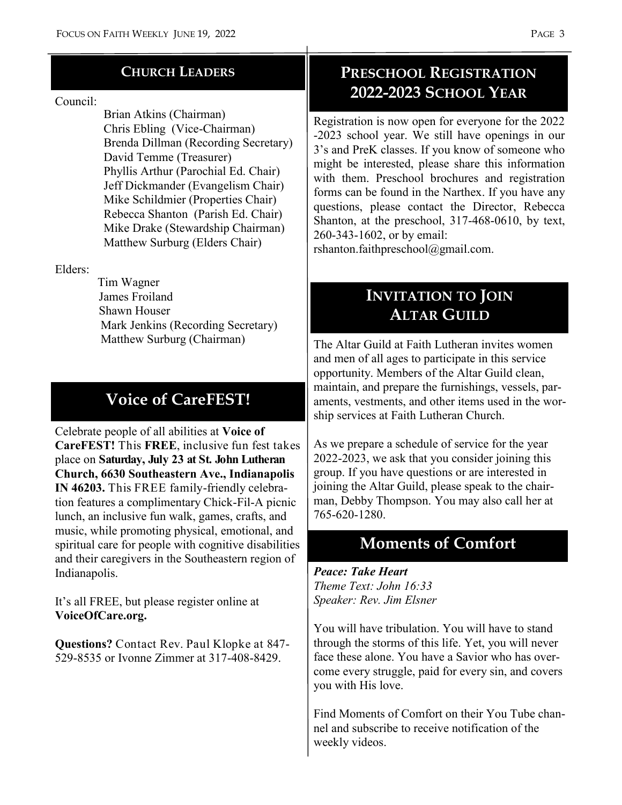#### **CHURCH LEADERS**

#### Council:

 Brian Atkins (Chairman) Chris Ebling (Vice-Chairman) Brenda Dillman (Recording Secretary) David Temme (Treasurer) Phyllis Arthur (Parochial Ed. Chair) Jeff Dickmander (Evangelism Chair) Mike Schildmier (Properties Chair) Rebecca Shanton (Parish Ed. Chair) Mike Drake (Stewardship Chairman) Matthew Surburg (Elders Chair)

Elders:

 Tim Wagner James Froiland Shawn Houser Mark Jenkins (Recording Secretary) Matthew Surburg (Chairman)

## **Voice of CareFEST!**

Celebrate people of all abilities at **Voice of CareFEST!** This **FREE**, inclusive fun fest takes place on **Saturday, July 23 at St. John Lutheran Church, 6630 Southeastern Ave., Indianapolis IN 46203.** This FREE family-friendly celebration features a complimentary Chick-Fil-A picnic lunch, an inclusive fun walk, games, crafts, and music, while promoting physical, emotional, and spiritual care for people with cognitive disabilities and their caregivers in the Southeastern region of Indianapolis.

It's all FREE, but please register online at **VoiceOfCare.org.**

**Questions?** Contact Rev. Paul Klopke at 847- 529-8535 or Ivonne Zimmer at 317-408-8429.

### **PRESCHOOL REGISTRATION 2022-2023 SCHOOL YEAR**

Registration is now open for everyone for the 2022 -2023 school year. We still have openings in our 3's and PreK classes. If you know of someone who might be interested, please share this information with them. Preschool brochures and registration forms can be found in the Narthex. If you have any questions, please contact the Director, Rebecca Shanton, at the preschool, 317-468-0610, by text, 260-343-1602, or by email:

rshanton.faithpreschool@gmail.com.

## **INVITATION TO JOIN ALTAR GUILD**

The Altar Guild at Faith Lutheran invites women and men of all ages to participate in this service opportunity. Members of the Altar Guild clean, maintain, and prepare the furnishings, vessels, paraments, vestments, and other items used in the worship services at Faith Lutheran Church.

As we prepare a schedule of service for the year 2022-2023, we ask that you consider joining this group. If you have questions or are interested in joining the Altar Guild, please speak to the chairman, Debby Thompson. You may also call her at 765-620-1280.

## **Moments of Comfort**

*Peace: Take Heart Theme Text: John 16:33 Speaker: Rev. Jim Elsner*

You will have tribulation. You will have to stand through the storms of this life. Yet, you will never face these alone. You have a Savior who has overcome every struggle, paid for every sin, and covers you with His love.

Find Moments of Comfort on their You Tube channel and subscribe to receive notification of the weekly videos.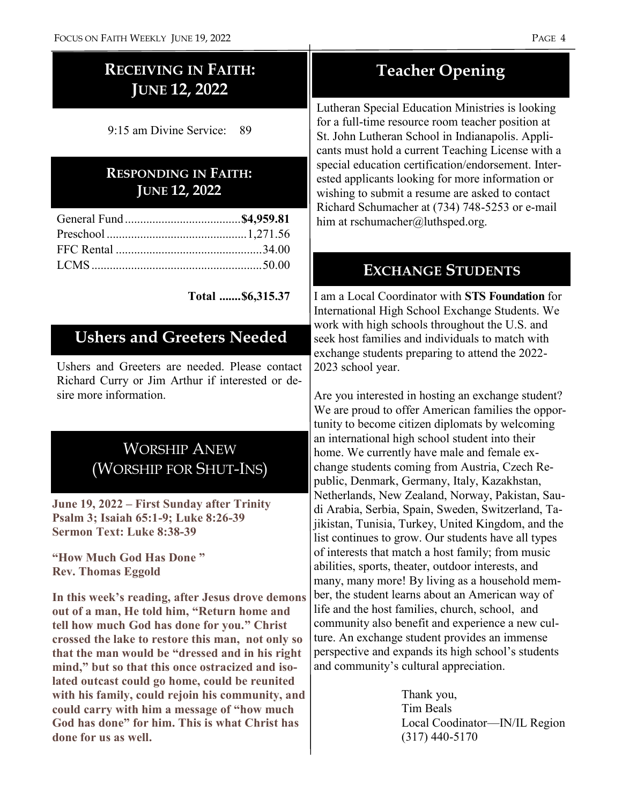## **RECEIVING IN FAITH: JUNE 12, 2022**

9:15 am Divine Service: 89

### **RESPONDING IN FAITH: JUNE 12, 2022**

**Total .......\$6,315.37**

### **Ushers and Greeters Needed**

Ushers and Greeters are needed. Please contact Richard Curry or Jim Arthur if interested or desire more information.

## WORSHIP ANEW (WORSHIP FOR SHUT-INS)

**June 19, 2022 – First Sunday after Trinity Psalm 3; Isaiah 65:1-9; Luke 8:26-39 Sermon Text: Luke 8:38-39**

**"How Much God Has Done " Rev. Thomas Eggold**

**In this week's reading, after Jesus drove demons out of a man, He told him, "Return home and tell how much God has done for you." Christ crossed the lake to restore this man, not only so that the man would be "dressed and in his right mind," but so that this once ostracized and isolated outcast could go home, could be reunited with his family, could rejoin his community, and could carry with him a message of "how much God has done" for him. This is what Christ has done for us as well.**

## **Teacher Opening**

Lutheran Special Education Ministries is looking for a full-time resource room teacher position at St. John Lutheran School in Indianapolis. Applicants must hold a current Teaching License with a special education certification/endorsement. Interested applicants looking for more information or wishing to submit a resume are asked to contact Richard Schumacher at (734) 748-5253 or e-mail him at rschumacher@luthsped.org.

### **EXCHANGE STUDENTS**

I am a Local Coordinator with **STS Foundation** for International High School Exchange Students. We work with high schools throughout the U.S. and seek host families and individuals to match with exchange students preparing to attend the 2022- 2023 school year.

Are you interested in hosting an exchange student? We are proud to offer American families the opportunity to become citizen diplomats by welcoming an international high school student into their home. We currently have male and female exchange students coming from Austria, Czech Republic, Denmark, Germany, Italy, Kazakhstan, Netherlands, New Zealand, Norway, Pakistan, Saudi Arabia, Serbia, Spain, Sweden, Switzerland, Tajikistan, Tunisia, Turkey, United Kingdom, and the list continues to grow. Our students have all types of interests that match a host family; from music abilities, sports, theater, outdoor interests, and many, many more! By living as a household member, the student learns about an American way of life and the host families, church, school, and community also benefit and experience a new culture. An exchange student provides an immense perspective and expands its high school's students and community's cultural appreciation.

> Thank you, Tim Beals Local Coodinator—IN/IL Region (317) 440-5170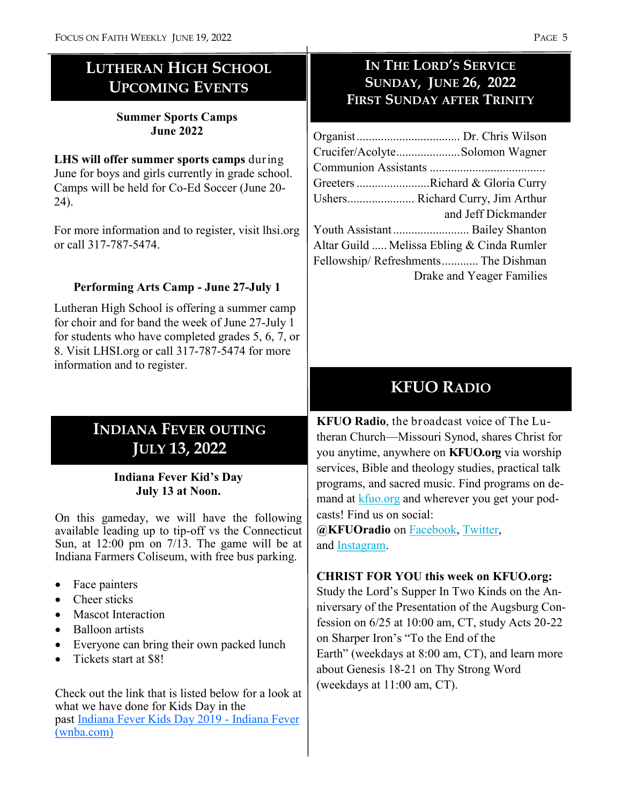## **LUTHERAN HIGH SCHOOL UPCOMING EVENTS**

#### **Summer Sports Camps June 2022**

**LHS will offer summer sports camps** during June for boys and girls currently in grade school. Camps will be held for Co-Ed Soccer (June 20- 24).

For more information and to register, visit lhsi.org or call 317-787-5474.

### **Performing Arts Camp - June 27-July 1**

Lutheran High School is offering a summer camp for choir and for band the week of June 27-July 1 for students who have completed grades 5, 6, 7, or 8. Visit LHSI.org or call 317-787-5474 for more information and to register.

## **INDIANA FEVER OUTING JULY 13, 2022**

#### **Indiana Fever Kid's Day July 13 at Noon.**

On this gameday, we will have the following available leading up to tip-off vs the Connecticut Sun, at 12:00 pm on 7/13. The game will be at Indiana Farmers Coliseum, with free bus parking.

- Face painters
- Cheer sticks
- Mascot Interaction
- Balloon artists
- Everyone can bring their own packed lunch
- Tickets start at \$8!

Check out the link that is listed below for a look at what we have done for Kids Day in the past [Indiana Fever Kids Day 2019](https://nam02.safelinks.protection.outlook.com/?url=https%3A%2F%2Ffever.wnba.com%2Fgroups%2Fkids-day%2F&data=05%7C01%7CCEvans%40PACERS.com%7C13bc102c83744e4cf7ac08da2e064c3b%7C25a1d65179e3465a8d16d790287be72a%7C0%7C0%7C637872901842488920%7CUnknown%7CTWFpbGZsb) - Indiana Fever [\(wnba.com\)](https://nam02.safelinks.protection.outlook.com/?url=https%3A%2F%2Ffever.wnba.com%2Fgroups%2Fkids-day%2F&data=05%7C01%7CCEvans%40PACERS.com%7C13bc102c83744e4cf7ac08da2e064c3b%7C25a1d65179e3465a8d16d790287be72a%7C0%7C0%7C637872901842488920%7CUnknown%7CTWFpbGZsb)

### **IN THE LORD'S SERVICE SUNDAY, JUNE 26, 2022 FIRST SUNDAY AFTER TRINITY**

| Crucifer/AcolyteSolomon Wagner             |
|--------------------------------------------|
|                                            |
| Greeters Richard & Gloria Curry            |
| Ushers Richard Curry, Jim Arthur           |
| and Jeff Dickmander                        |
| Youth Assistant Bailey Shanton             |
| Altar Guild  Melissa Ebling & Cinda Rumler |
| Fellowship/Refreshments The Dishman        |
| Drake and Yeager Families                  |

## **KFUO RADIO**

**KFUO Radio**, the broadcast voice of The Lutheran Church—Missouri Synod, shares Christ for you anytime, anywhere on **KFUO.org** via worship services, Bible and theology studies, practical talk programs, and sacred music. Find programs on demand at [kfuo.org](https://kfuo.us19.list-manage.com/track/click?u=54af661ed49340a315983cb13&id=fd26688684&e=9fbf9b262b) and wherever you get your podcasts! Find us on social:

**@KFUOradio** on [Facebook,](https://kfuo.us19.list-manage.com/track/click?u=54af661ed49340a315983cb13&id=b928fef4ba&e=9fbf9b262b) [Twitter,](https://kfuo.us19.list-manage.com/track/click?u=54af661ed49340a315983cb13&id=3e9e294abe&e=9fbf9b262b)  and [Instagram.](https://kfuo.us19.list-manage.com/track/click?u=54af661ed49340a315983cb13&id=45a5c39706&e=9fbf9b262b)

### **CHRIST FOR YOU this week on KFUO.org:**

Study the Lord's Supper In Two Kinds on the Anniversary of the Presentation of the Augsburg Confession on 6/25 at 10:00 am, CT, study Acts 20-22 on Sharper Iron's "To the End of the Earth" (weekdays at 8:00 am, CT), and learn more about Genesis 18-21 on Thy Strong Word (weekdays at 11:00 am, CT).